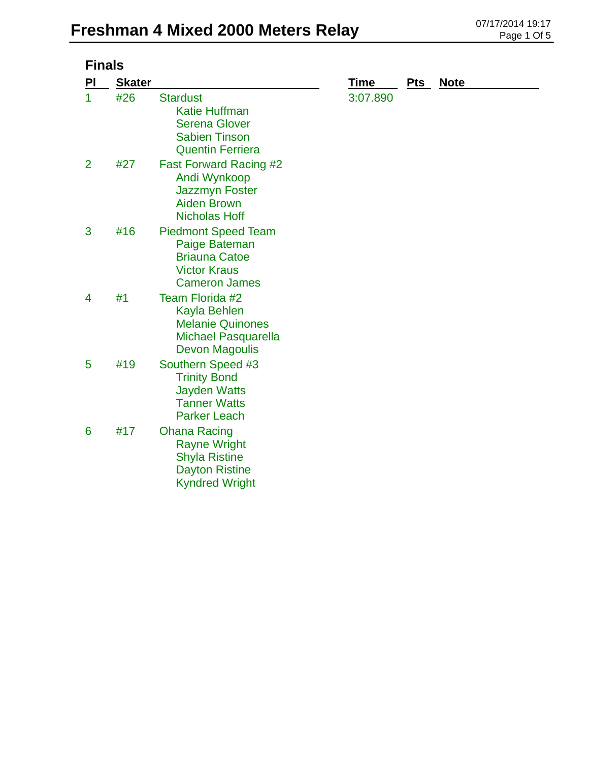| <b>Finals</b> |               |                                                                                                                      |             |            |             |
|---------------|---------------|----------------------------------------------------------------------------------------------------------------------|-------------|------------|-------------|
| PI            | <b>Skater</b> |                                                                                                                      | <u>Time</u> | <u>Pts</u> | <b>Note</b> |
| 1             | #26           | <b>Stardust</b><br><b>Katie Huffman</b><br><b>Serena Glover</b><br><b>Sabien Tinson</b><br><b>Quentin Ferriera</b>   | 3:07.890    |            |             |
| 2             | #27           | <b>Fast Forward Racing #2</b><br>Andi Wynkoop<br><b>Jazzmyn Foster</b><br><b>Aiden Brown</b><br><b>Nicholas Hoff</b> |             |            |             |
| 3             | #16           | <b>Piedmont Speed Team</b><br>Paige Bateman<br><b>Briauna Catoe</b><br><b>Victor Kraus</b><br><b>Cameron James</b>   |             |            |             |
| 4             | #1            | Team Florida #2<br>Kayla Behlen<br><b>Melanie Quinones</b><br><b>Michael Pasquarella</b><br><b>Devon Magoulis</b>    |             |            |             |
| 5             | #19           | Southern Speed #3<br><b>Trinity Bond</b><br><b>Jayden Watts</b><br><b>Tanner Watts</b><br><b>Parker Leach</b>        |             |            |             |
| 6             | #17           | <b>Ohana Racing</b><br><b>Rayne Wright</b><br><b>Shyla Ristine</b><br><b>Dayton Ristine</b><br><b>Kyndred Wright</b> |             |            |             |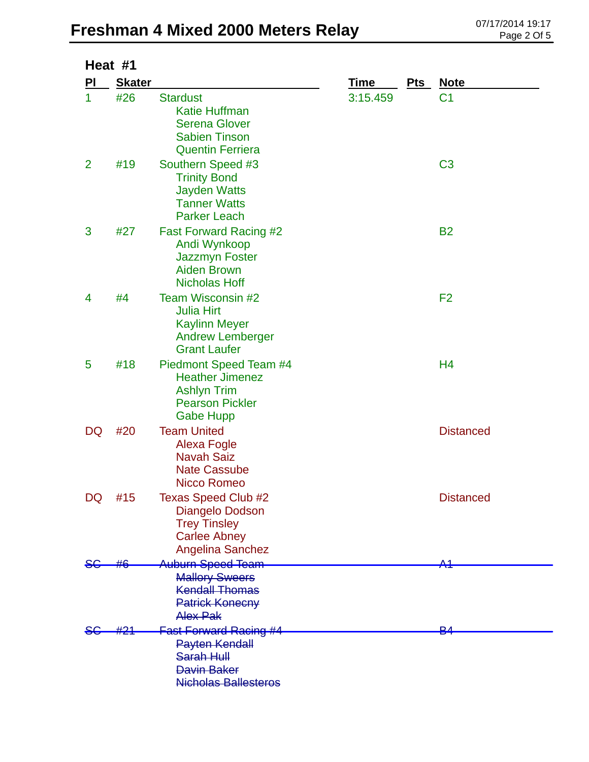## **Freshman 4 Mixed 2000 Meters Relay** 07/17/2014 19:17

| Heat #1        |               |                                                                                                                        |             |       |                  |  |  |
|----------------|---------------|------------------------------------------------------------------------------------------------------------------------|-------------|-------|------------------|--|--|
| <b>PI</b>      | <b>Skater</b> |                                                                                                                        | <b>Time</b> | $Pts$ | <b>Note</b>      |  |  |
| $\mathbf{1}$   | #26           | <b>Stardust</b><br><b>Katie Huffman</b><br><b>Serena Glover</b><br><b>Sabien Tinson</b><br><b>Quentin Ferriera</b>     | 3:15.459    |       | C <sub>1</sub>   |  |  |
| $\overline{2}$ | #19           | Southern Speed #3<br><b>Trinity Bond</b><br><b>Jayden Watts</b><br><b>Tanner Watts</b><br><b>Parker Leach</b>          |             |       | C <sub>3</sub>   |  |  |
| 3              | #27           | <b>Fast Forward Racing #2</b><br>Andi Wynkoop<br><b>Jazzmyn Foster</b><br><b>Aiden Brown</b><br><b>Nicholas Hoff</b>   |             |       | <b>B2</b>        |  |  |
| 4              | #4            | Team Wisconsin #2<br><b>Julia Hirt</b><br><b>Kaylinn Meyer</b><br><b>Andrew Lemberger</b><br><b>Grant Laufer</b>       |             |       | F <sub>2</sub>   |  |  |
| 5              | #18           | Piedmont Speed Team #4<br><b>Heather Jimenez</b><br><b>Ashlyn Trim</b><br><b>Pearson Pickler</b><br><b>Gabe Hupp</b>   |             |       | H <sub>4</sub>   |  |  |
| DQ             | #20           | <b>Team United</b><br><b>Alexa Fogle</b><br><b>Navah Saiz</b><br><b>Nate Cassube</b><br>Nicco Romeo                    |             |       | <b>Distanced</b> |  |  |
| DQ             | #15           | <b>Texas Speed Club #2</b><br>Diangelo Dodson<br><b>Trey Tinsley</b><br><b>Carlee Abney</b><br><b>Angelina Sanchez</b> |             |       | <b>Distanced</b> |  |  |
|                |               | Auburn Speed Team<br><b>Mallory Sweers</b><br><b>Kendall Thomas</b><br><b>Patrick Konecny</b><br><b>Alex Pak</b>       |             |       | Δ.1              |  |  |
|                |               | <b>Fast Forward Racing #4</b><br><b>Payten Kendall</b><br>Sarah Hull<br>Davin Baker<br><b>Nicholas Ballesteros</b>     |             |       | ₽∠               |  |  |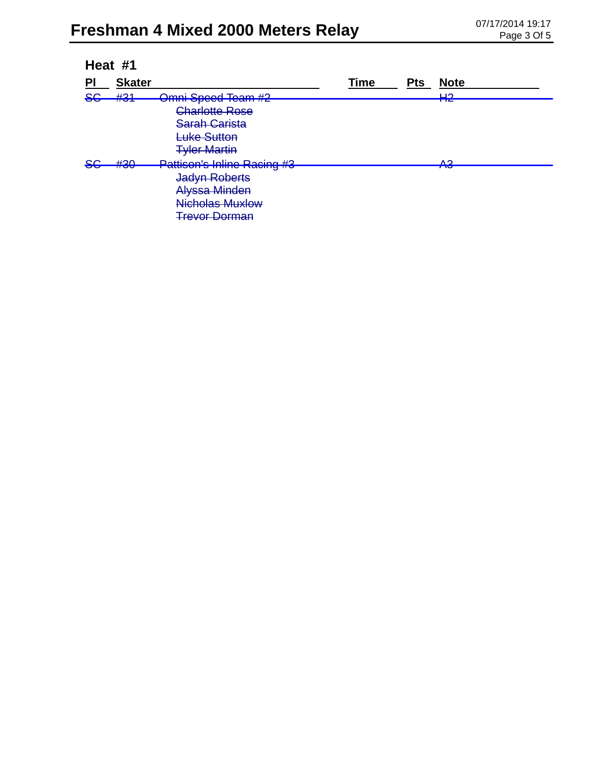| Heat #1       |                 |                                                                                     |             |            |             |  |
|---------------|-----------------|-------------------------------------------------------------------------------------|-------------|------------|-------------|--|
| PI            | <b>Skater</b>   |                                                                                     | <b>Time</b> | <b>Pts</b> | <b>Note</b> |  |
| <del>SG</del> | #21<br>$\pi$ of | Omni Speed Team #2                                                                  |             |            | பറ<br>ПС    |  |
|               |                 | Charlotte Rose<br><b>Sarah Carista</b><br><b>Luke Sutton</b><br><b>Tyler Martin</b> |             |            |             |  |
| <del>SC</del> | H20<br>$\pi$ vv | <b>Pattison's Inline Racing #3</b>                                                  |             |            | ΛQ<br>TU    |  |
|               |                 | <b>Jadyn Roberts</b>                                                                |             |            |             |  |
|               |                 | <b>Alyssa Minden</b>                                                                |             |            |             |  |
|               |                 | Nicholas Muxlow                                                                     |             |            |             |  |
|               |                 | <b>Trevor Dorman</b>                                                                |             |            |             |  |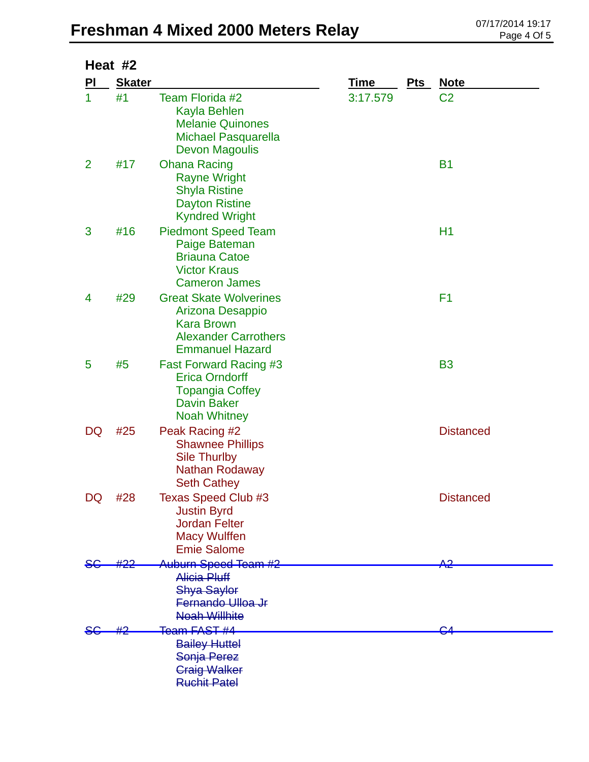## **Freshman 4 Mixed 2000 Meters Relay** 07/17/2014 19:17

| Heat #2        |               |                                                                                                                                 |             |     |                  |  |  |
|----------------|---------------|---------------------------------------------------------------------------------------------------------------------------------|-------------|-----|------------------|--|--|
| PI             | <b>Skater</b> |                                                                                                                                 | <u>Time</u> | Pts | <b>Note</b>      |  |  |
| 1              | #1            | Team Florida #2<br>Kayla Behlen<br><b>Melanie Quinones</b><br>Michael Pasquarella<br>Devon Magoulis                             | 3:17.579    |     | C <sub>2</sub>   |  |  |
| $\overline{2}$ | #17           | <b>Ohana Racing</b><br><b>Rayne Wright</b><br><b>Shyla Ristine</b><br><b>Dayton Ristine</b><br><b>Kyndred Wright</b>            |             |     | <b>B1</b>        |  |  |
| 3              | #16           | <b>Piedmont Speed Team</b><br>Paige Bateman<br><b>Briauna Catoe</b><br><b>Victor Kraus</b><br><b>Cameron James</b>              |             |     | H1               |  |  |
| 4              | #29           | <b>Great Skate Wolverines</b><br>Arizona Desappio<br><b>Kara Brown</b><br><b>Alexander Carrothers</b><br><b>Emmanuel Hazard</b> |             |     | F <sub>1</sub>   |  |  |
| 5              | #5            | <b>Fast Forward Racing #3</b><br><b>Erica Orndorff</b><br><b>Topangia Coffey</b><br><b>Davin Baker</b><br><b>Noah Whitney</b>   |             |     | <b>B3</b>        |  |  |
| DQ             | #25           | Peak Racing #2<br><b>Shawnee Phillips</b><br><b>Sile Thurlby</b><br>Nathan Rodaway<br><b>Seth Cathey</b>                        |             |     | <b>Distanced</b> |  |  |
| DQ             | #28           | <b>Texas Speed Club #3</b><br><b>Justin Byrd</b><br><b>Jordan Felter</b><br><b>Macy Wulffen</b><br><b>Emie Salome</b>           |             |     | <b>Distanced</b> |  |  |
|                |               | Auburn Speed Team #2<br><b>Alicia Pluff</b><br><b>Shya Saylor</b><br>Fernando Ulloa Jr<br><b>Noah Willhite</b>                  |             |     | جم               |  |  |
|                |               | <del>Team FAST #4</del><br><b>Bailey Huttel</b><br>Sonja Perez<br><b>Craig Walker</b><br><b>Ruchit Patel</b>                    |             |     |                  |  |  |